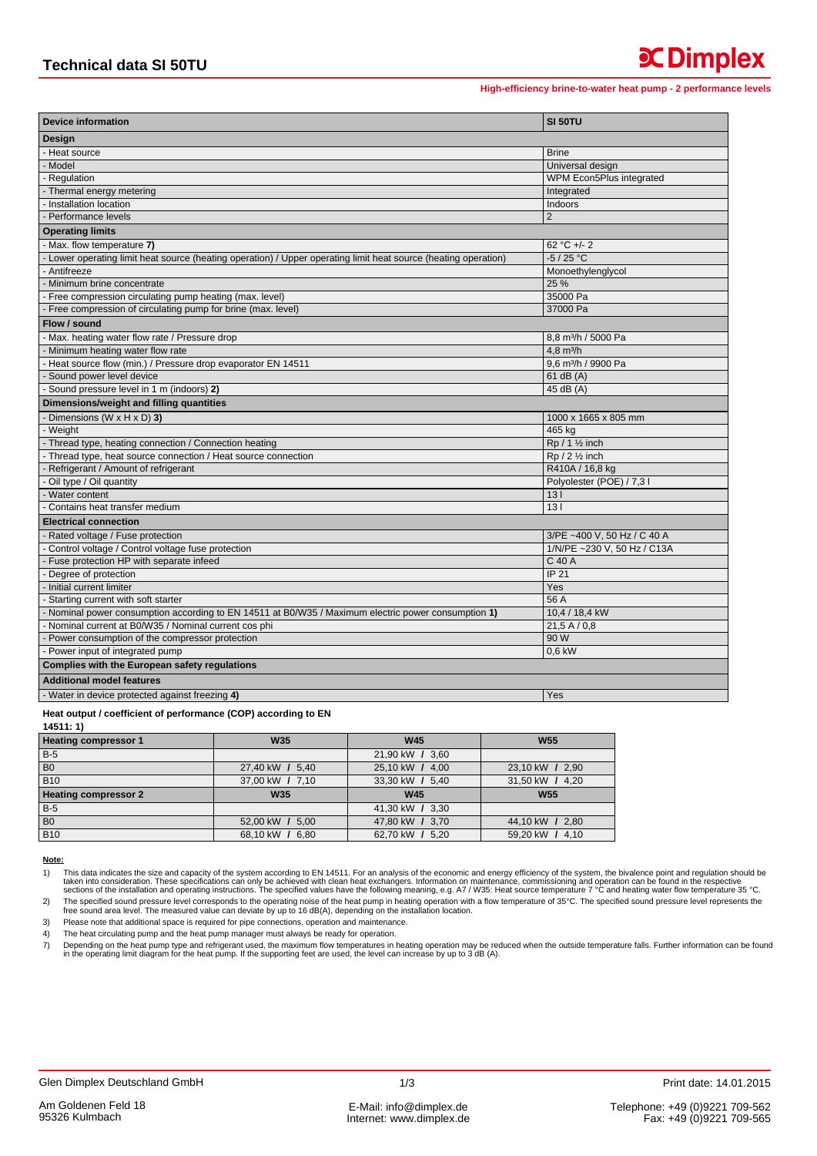## **x** Dimplex

High-efficiency brine-to-water heat pump - 2 performance levels

| <b>Device information</b>                                                                                       | SI 50TU                         |  |  |  |
|-----------------------------------------------------------------------------------------------------------------|---------------------------------|--|--|--|
| Design                                                                                                          |                                 |  |  |  |
| - Heat source                                                                                                   | <b>Brine</b>                    |  |  |  |
| - Model                                                                                                         | Universal design                |  |  |  |
| - Regulation                                                                                                    | WPM Econ5Plus integrated        |  |  |  |
| - Thermal energy metering                                                                                       | Integrated                      |  |  |  |
| - Installation location                                                                                         | Indoors                         |  |  |  |
| - Performance levels                                                                                            | $\overline{2}$                  |  |  |  |
| <b>Operating limits</b>                                                                                         |                                 |  |  |  |
| - Max. flow temperature 7)                                                                                      | 62 °C +/- 2                     |  |  |  |
| - Lower operating limit heat source (heating operation) / Upper operating limit heat source (heating operation) | $-5/25 °C$                      |  |  |  |
| - Antifreeze                                                                                                    | Monoethylenglycol               |  |  |  |
| - Minimum brine concentrate                                                                                     | 25 %                            |  |  |  |
| - Free compression circulating pump heating (max. level)                                                        | 35000 Pa                        |  |  |  |
| - Free compression of circulating pump for brine (max. level)                                                   | 37000 Pa                        |  |  |  |
| Flow / sound                                                                                                    |                                 |  |  |  |
| - Max. heating water flow rate / Pressure drop                                                                  | 8,8 m <sup>3</sup> /h / 5000 Pa |  |  |  |
| Minimum heating water flow rate                                                                                 | $4.8 \text{ m}^3/h$             |  |  |  |
| Heat source flow (min.) / Pressure drop evaporator EN 14511                                                     | 9.6 m <sup>3</sup> /h / 9900 Pa |  |  |  |
| Sound power level device                                                                                        | 61 dB (A)                       |  |  |  |
| - Sound pressure level in 1 m (indoors) 2)                                                                      | $45$ dB $(A)$                   |  |  |  |
| Dimensions/weight and filling quantities                                                                        |                                 |  |  |  |
| Dimensions (W $\times$ H $\times$ D) 3)                                                                         | 1000 x 1665 x 805 mm            |  |  |  |
| - Weight                                                                                                        | 465 kg                          |  |  |  |
| - Thread type, heating connection / Connection heating                                                          | $Rp / 1$ % inch                 |  |  |  |
| - Thread type, heat source connection / Heat source connection                                                  | $Rp / 2$ % inch                 |  |  |  |
| - Refrigerant / Amount of refrigerant                                                                           | R410A / 16,8 kg                 |  |  |  |
| - Oil type / Oil quantity                                                                                       | Polyolester (POE) / 7,3 l       |  |  |  |
| - Water content                                                                                                 | 13 <sub>1</sub>                 |  |  |  |
| Contains heat transfer medium                                                                                   | 131                             |  |  |  |
| <b>Electrical connection</b>                                                                                    |                                 |  |  |  |
| - Rated voltage / Fuse protection                                                                               | 3/PE ~400 V, 50 Hz / C 40 A     |  |  |  |
| - Control voltage / Control voltage fuse protection                                                             | 1/N/PE ~230 V, 50 Hz / C13A     |  |  |  |
| - Fuse protection HP with separate infeed                                                                       | C 40 A                          |  |  |  |
| - Degree of protection                                                                                          | <b>IP 21</b>                    |  |  |  |
| - Initial current limiter                                                                                       | Yes                             |  |  |  |
| Starting current with soft starter                                                                              | 56 A                            |  |  |  |
| - Nominal power consumption according to EN 14511 at B0/W35 / Maximum electric power consumption 1)             | 10,4 / 18,4 kW                  |  |  |  |
| - Nominal current at B0/W35 / Nominal current cos phi                                                           | 21,5A/0,8                       |  |  |  |
| - Power consumption of the compressor protection                                                                | 90 W                            |  |  |  |
| - Power input of integrated pump                                                                                | 0.6 kW                          |  |  |  |
| Complies with the European safety regulations                                                                   |                                 |  |  |  |
| <b>Additional model features</b>                                                                                |                                 |  |  |  |
| - Water in device protected against freezing 4)                                                                 | Yes                             |  |  |  |

## Heat output / coefficient of performance (COP) according to EN

 $14511:1$ 

| <b>Heating compressor 1</b> | <b>W35</b>      | <b>W45</b>      | <b>W55</b>      |
|-----------------------------|-----------------|-----------------|-----------------|
| $B-5$                       |                 | 21,90 kW / 3,60 |                 |
| B <sub>0</sub>              | 27,40 kW / 5,40 | 25,10 kW / 4,00 | 23,10 kW / 2,90 |
| <b>B10</b>                  | 37,00 kW / 7,10 | 33,30 kW / 5,40 | 31,50 kW / 4,20 |
| <b>Heating compressor 2</b> | <b>W35</b>      | <b>W45</b>      | <b>W55</b>      |
| <b>B-5</b>                  |                 | 41,30 kW / 3,30 |                 |
| B <sub>0</sub>              | 52,00 kW / 5,00 | 47,80 kW / 3,70 | 44,10 kW / 2,80 |
| <b>B10</b>                  | 68,10 kW / 6,80 | 62,70 kW / 5,20 | 59,20 kW / 4,10 |

## Note:

This data indicates the size and capacity of the system according to EN 14511. For an analysis of the economic and energy efficiency of the system, the bivalence point and regulation should be taken into consideration. The  $1)$ 

The specified sound pressure level corresponds to the operating noise of the heat pump in heating operation with a flow temperature of 35°C. The specified sound pressure level represents the free sound area level. The meas  $2)$  $3)$ Please note that additional space is required for pipe connections, operation and maintenance.

The heat circulating pump and the heat pump manager must always be ready for operation.  $4)$ 

Depending on the heat pump type and refrigerant used, the maximum flow temperatures in heating operation may be reduced when the outside temperature falls. Further information can be found<br>In the operating limit diagram fo  $\overline{7}$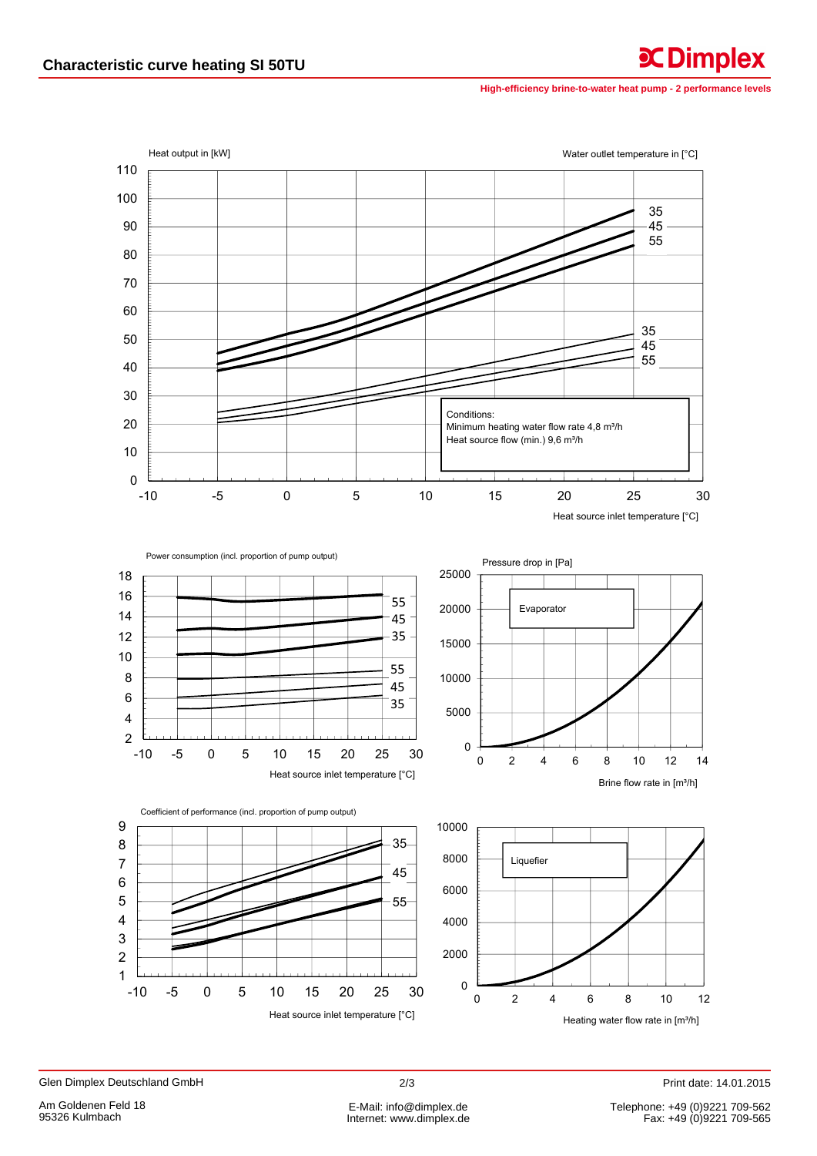High-efficiency brine-to-water heat pump - 2 performance levels

**C**Dimplex



 $2/3$ 

Print date: 14.01.2015